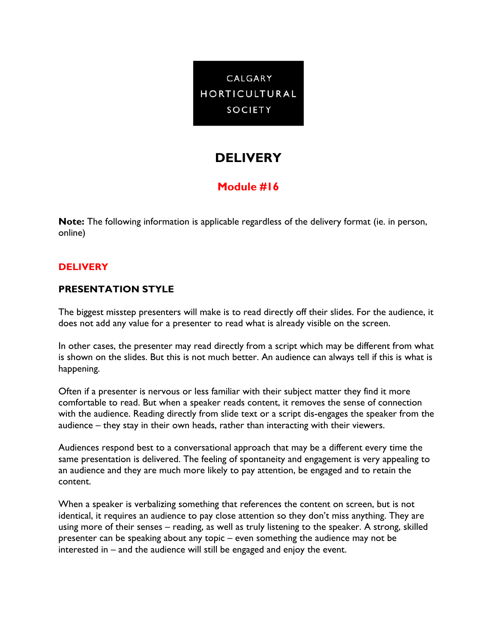

# **DELIVERY**

## **Module #16**

**Note:** The following information is applicable regardless of the delivery format (ie. in person, online)

### **DELIVERY**

### **PRESENTATION STYLE**

The biggest misstep presenters will make is to read directly off their slides. For the audience, it does not add any value for a presenter to read what is already visible on the screen.

In other cases, the presenter may read directly from a script which may be different from what is shown on the slides. But this is not much better. An audience can always tell if this is what is happening.

Often if a presenter is nervous or less familiar with their subject matter they find it more comfortable to read. But when a speaker reads content, it removes the sense of connection with the audience. Reading directly from slide text or a script dis-engages the speaker from the audience – they stay in their own heads, rather than interacting with their viewers.

Audiences respond best to a conversational approach that may be a different every time the same presentation is delivered. The feeling of spontaneity and engagement is very appealing to an audience and they are much more likely to pay attention, be engaged and to retain the content.

When a speaker is verbalizing something that references the content on screen, but is not identical, it requires an audience to pay close attention so they don't miss anything. They are using more of their senses – reading, as well as truly listening to the speaker. A strong, skilled presenter can be speaking about any topic – even something the audience may not be interested in – and the audience will still be engaged and enjoy the event.